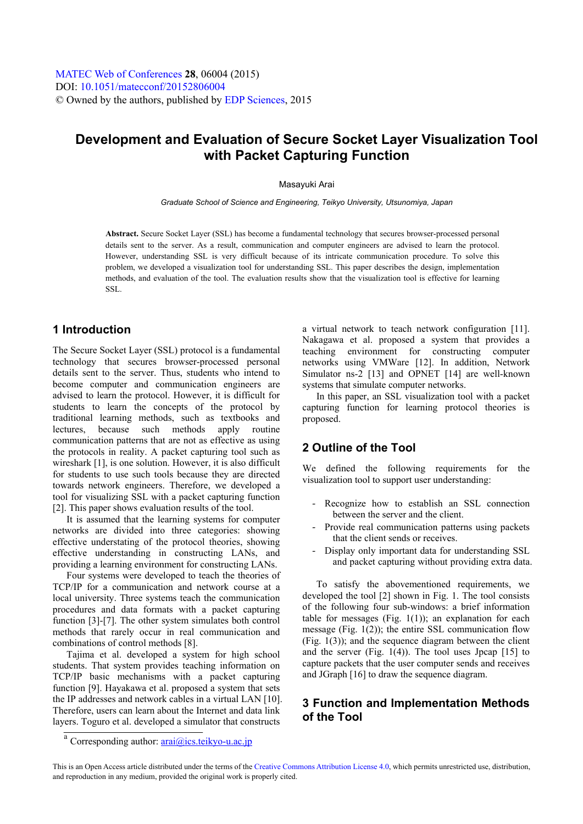# **Development and Evaluation of Secure Socket Layer Visualization Tool with Packet Capturing Function**

#### Masayuki Arai

*Graduate School of Science and Engineering, Teikyo University, Utsunomiya, Japan* 

**Abstract.** Secure Socket Layer (SSL) has become a fundamental technology that secures browser-processed personal details sent to the server. As a result, communication and computer engineers are advised to learn the protocol. However, understanding SSL is very difficult because of its intricate communication procedure. To solve this problem, we developed a visualization tool for understanding SSL. This paper describes the design, implementation methods, and evaluation of the tool. The evaluation results show that the visualization tool is effective for learning SSL.

### **1 Introduction**

The Secure Socket Layer (SSL) protocol is a fundamental technology that secures browser-processed personal details sent to the server. Thus, students who intend to become computer and communication engineers are advised to learn the protocol. However, it is difficult for students to learn the concepts of the protocol by traditional learning methods, such as textbooks and lectures, because such methods apply routine communication patterns that are not as effective as using the protocols in reality. A packet capturing tool such as wireshark [1], is one solution. However, it is also difficult for students to use such tools because they are directed towards network engineers. Therefore, we developed a tool for visualizing SSL with a packet capturing function [2]. This paper shows evaluation results of the tool.

It is assumed that the learning systems for computer networks are divided into three categories: showing effective understating of the protocol theories, showing effective understanding in constructing LANs, and providing a learning environment for constructing LANs.

Four systems were developed to teach the theories of TCP/IP for a communication and network course at a local university. Three systems teach the communication procedures and data formats with a packet capturing function [3]-[7]. The other system simulates both control methods that rarely occur in real communication and combinations of control methods [8].

Tajima et al. developed a system for high school students. That system provides teaching information on TCP/IP basic mechanisms with a packet capturing function [9]. Hayakawa et al. proposed a system that sets the IP addresses and network cables in a virtual LAN [10]. Therefore, users can learn about the Internet and data link layers. Toguro et al. developed a simulator that constructs

a virtual network to teach network configuration [11]. Nakagawa et al. proposed a system that provides a teaching environment for constructing computer networks using VMWare [12]. In addition, Network Simulator ns-2 [13] and OPNET [14] are well-known systems that simulate computer networks.

In this paper, an SSL visualization tool with a packet capturing function for learning protocol theories is proposed.

### **2 Outline of the Tool**

We defined the following requirements for the visualization tool to support user understanding:

- Recognize how to establish an SSL connection between the server and the client.
- Provide real communication patterns using packets that the client sends or receives.
- Display only important data for understanding SSL and packet capturing without providing extra data.

To satisfy the abovementioned requirements, we developed the tool [2] shown in Fig. 1. The tool consists of the following four sub-windows: a brief information table for messages (Fig.  $1(1)$ ); an explanation for each message (Fig. 1(2)); the entire SSL communication flow  $(Fig. 1(3))$ ; and the sequence diagram between the client and the server (Fig.  $1(4)$ ). The tool uses Jpcap [15] to capture packets that the user computer sends and receives and JGraph [16] to draw the sequence diagram.

## **3 Function and Implementation Methods of the Tool**

<sup>&</sup>lt;sup>a</sup> Corresponding author: **arai@ics.teikyo-u.ac.jp** 

This is an Open Access article distributed under the terms of the [Creative Commons Attribution License 4.0](http://creativecommons.org/licenses/by/4.0), which permits unrestricted use, distribution, and reproduction in any medium, provided the original work is properly cited.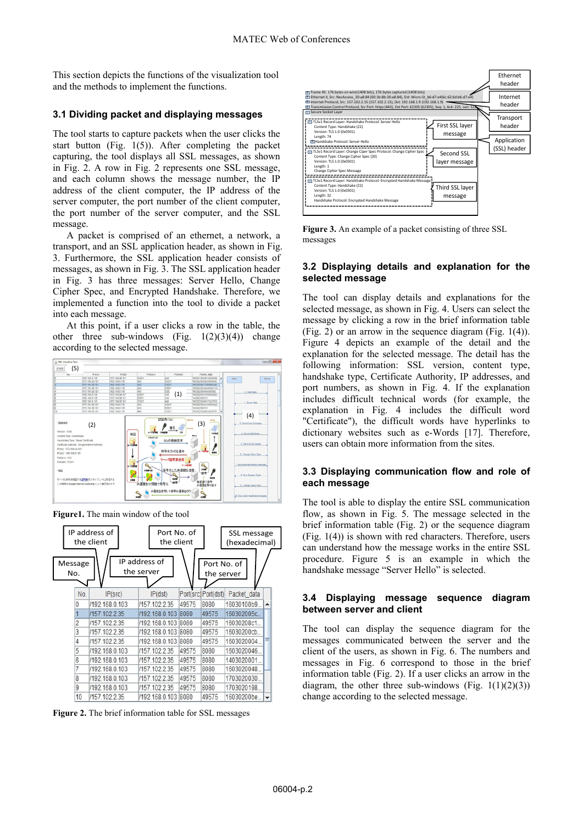This section depicts the functions of the visualization tool and the methods to implement the functions.

#### **3.1 Dividing packet and displaying messages**

The tool starts to capture packets when the user clicks the start button (Fig. 1(5)). After completing the packet capturing, the tool displays all SSL messages, as shown in Fig. 2. A row in Fig. 2 represents one SSL message, and each column shows the message number, the IP address of the client computer, the IP address of the server computer, the port number of the client computer, the port number of the server computer, and the SSL message.

A packet is comprised of an ethernet, a network, a transport, and an SSL application header, as shown in Fig. 3. Furthermore, the SSL application header consists of messages, as shown in Fig. 3. The SSL application header in Fig. 3 has three messages: Server Hello, Change Cipher Spec, and Encrypted Handshake. Therefore, we implemented a function into the tool to divide a packet into each message.

At this point, if a user clicks a row in the table, the other three sub-windows (Fig.  $1(2)(3)(4)$ ) change according to the selected message.



**Figure1.** The main window of the tool



**Figure 2.** The brief information table for SSL messages



**Figure 3.** An example of a packet consisting of three SSL messages

#### **3.2 Displaying details and explanation for the selected message**

The tool can display details and explanations for the selected message, as shown in Fig. 4. Users can select the message by clicking a row in the brief information table (Fig. 2) or an arrow in the sequence diagram (Fig. 1(4)). Figure 4 depicts an example of the detail and the explanation for the selected message. The detail has the following information: SSL version, content type, handshake type, Certificate Authority, IP addresses, and port numbers, as shown in Fig. 4. If the explanation includes difficult technical words (for example, the explanation in Fig. 4 includes the difficult word "Certificate"), the difficult words have hyperlinks to dictionary websites such as e-Words [17]. Therefore, users can obtain more information from the sites.

#### **3.3 Displaying communication flow and role of each message**

The tool is able to display the entire SSL communication flow, as shown in Fig. 5. The message selected in the brief information table (Fig. 2) or the sequence diagram (Fig. 1(4)) is shown with red characters. Therefore, users can understand how the message works in the entire SSL procedure. Figure 5 is an example in which the handshake message "Server Hello" is selected.

#### **3.4 Displaying message sequence diagram between server and client**

The tool can display the sequence diagram for the messages communicated between the server and the client of the users, as shown in Fig. 6. The numbers and messages in Fig. 6 correspond to those in the brief information table (Fig. 2). If a user clicks an arrow in the diagram, the other three sub-windows (Fig.  $1(1)(2)(3)$ ) change according to the selected message.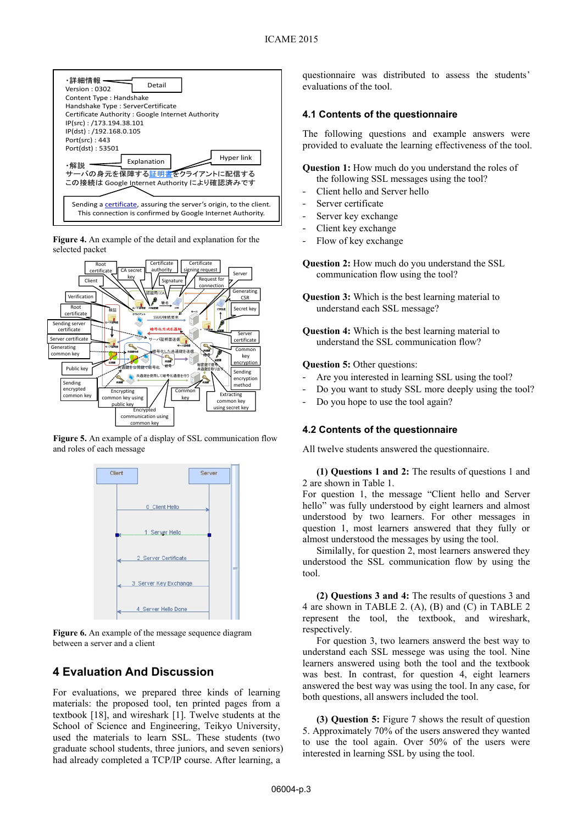

**Figure 4.** An example of the detail and explanation for the selected packet



**Figure 5.** An example of a display of SSL communication flow and roles of each message



**Figure 6.** An example of the message sequence diagram between a server and a client

## **4 Evaluation And Discussion**

For evaluations, we prepared three kinds of learning materials: the proposed tool, ten printed pages from a textbook [18], and wireshark [1]. Twelve students at the School of Science and Engineering, Teikyo University, used the materials to learn SSL. These students (two graduate school students, three juniors, and seven seniors) had already completed a TCP/IP course. After learning, a

questionnaire was distributed to assess the students' evaluations of the tool.

#### **4.1 Contents of the questionnaire**

The following questions and example answers were provided to evaluate the learning effectiveness of the tool.

- **Question 1:** How much do you understand the roles of the following SSL messages using the tool?
- Client hello and Server hello
- Server certificate
- Server key exchange
- Client key exchange
- Flow of key exchange

**Question 2:** How much do you understand the SSL communication flow using the tool?

- **Question 3:** Which is the best learning material to understand each SSL message?
- **Question 4:** Which is the best learning material to understand the SSL communication flow?

**Question 5: Other questions:** 

- Are you interested in learning SSL using the tool?
- Do you want to study SSL more deeply using the tool?
- Do you hope to use the tool again?

#### **4.2 Contents of the questionnaire**

All twelve students answered the questionnaire.

**(1) Questions 1 and 2:** The results of questions 1 and 2 are shown in Table 1.

For question 1, the message "Client hello and Server hello" was fully understood by eight learners and almost understood by two learners. For other messages in question 1, most learners answered that they fully or almost understood the messages by using the tool.

Similally, for question 2, most learners answered they understood the SSL communication flow by using the tool.

**(2) Questions 3 and 4:** The results of questions 3 and 4 are shown in TABLE 2. (A), (B) and (C) in TABLE 2 represent the tool, the textbook, and wireshark, respectively.

For question 3, two learners answerd the best way to understand each SSL messege was using the tool. Nine learners answered using both the tool and the textbook was best. In contrast, for question 4, eight learners answered the best way was using the tool. In any case, for both questions, all answers included the tool.

**(3) Question 5:** Figure 7 shows the result of question 5. Approximately 70% of the users answered they wanted to use the tool again. Over 50% of the users were interested in learning SSL by using the tool.